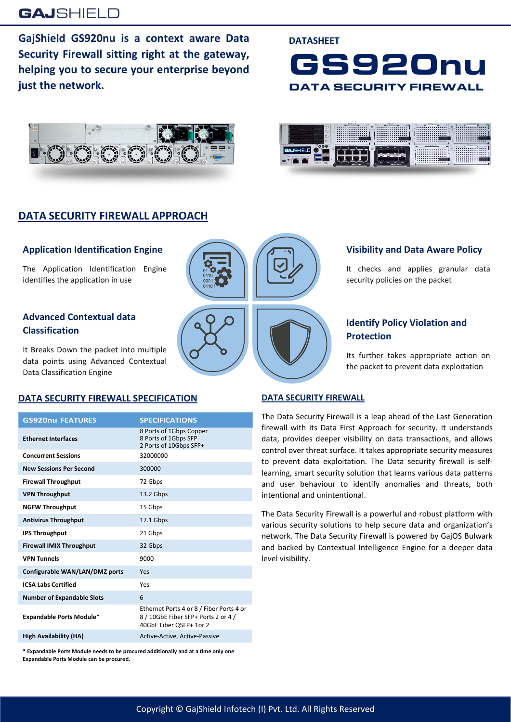## **GAJSHIELD**

**GajShield GS920nu is a context aware Data Security Firewall sitting right at the gateway, helping you to secure your enterprise beyond just the network.**





#### **DATA SECURITY FIREWALL APPROACH**

#### **Application Identification Engine**

The Application Identification Engine identifies the application in use

#### **Advanced Contextual data Classification**

It Breaks Down the packet into multiple data points using Advanced Contextual Data Classification Engine

#### **DATA SECURITY FIREWALL SPECIFICATION**

| <b>GS920nu FEATURES</b>           | <b>SPECIFICATIONS</b>                                                                                      |
|-----------------------------------|------------------------------------------------------------------------------------------------------------|
| <b>Ethernet Interfaces</b>        | 8 Ports of 1Gbps Copper<br>8 Ports of 1Gbps SFP<br>2 Ports of 10Gbps SFP+                                  |
| <b>Concurrent Sessions</b>        | 32000000                                                                                                   |
| <b>New Sessions Per Second</b>    | 300000                                                                                                     |
| <b>Firewall Throughput</b>        | 72 Gbps                                                                                                    |
| <b>VPN Throughput</b>             | 13.2 Gbps                                                                                                  |
| <b>NGFW Throughput</b>            | 15 Gbps                                                                                                    |
| <b>Antivirus Throughput</b>       | 17.1 Gbps                                                                                                  |
| <b>IPS Throughput</b>             | 21 Gbps                                                                                                    |
| <b>Firewall IMIX Throughput</b>   | 32 Gbps                                                                                                    |
| <b>VPN Tunnels</b>                | 9000                                                                                                       |
| Configurable WAN/LAN/DMZ ports    | Yes                                                                                                        |
| <b>ICSA Labs Certified</b>        | Yes                                                                                                        |
| <b>Number of Expandable Slots</b> | 6                                                                                                          |
| <b>Expandable Ports Module*</b>   | Ethernet Ports 4 or 8 / Fiber Ports 4 or<br>8 / 10GbE Fiber SFP+ Ports 2 or 4 /<br>40GbE Fiber OSFP+ 1or 2 |
| <b>High Availability (HA)</b>     | Active-Active, Active-Passive                                                                              |

**\* Expandable Ports Module needs to be procured additionally and at a time only one Expandable Ports Module can be procured.**



# **Visibility and Data Aware Policy**

It checks and applies granular data security policies on the packet

#### **Identify Policy Violation and Protection**

Its further takes appropriate action on the packet to prevent data exploitation

#### **DATA SECURITY FIREWALL**

**DATASHEET**

The Data Security Firewall is a leap ahead of the Last Generation firewall with its Data First Approach for security. It understands data, provides deeper visibility on data transactions, and allows control over threat surface. It takes appropriate security measures to prevent data exploitation. The Data security firewall is selflearning, smart security solution that learns various data patterns and user behaviour to identify anomalies and threats, both intentional and unintentional.

The Data Security Firewall is a powerful and robust platform with various security solutions to help secure data and organization's network. The Data Security Firewall is powered by GajOS Bulwark and backed by Contextual Intelligence Engine for a deeper data level visibility.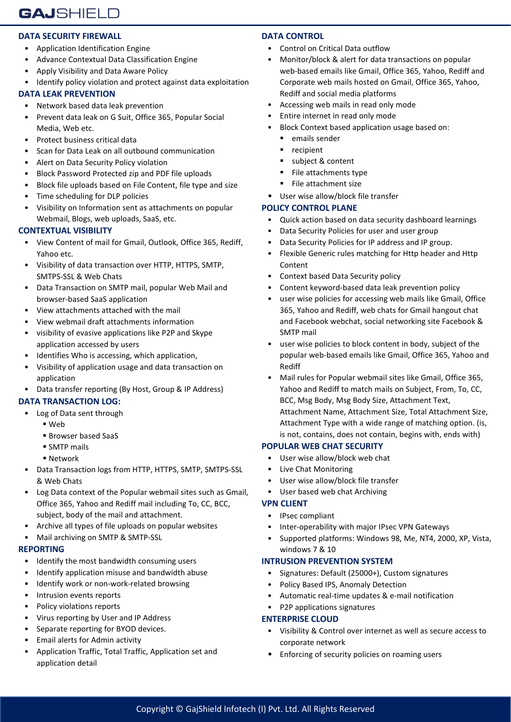#### **DATA SECURITY FIREWALL**

- Application Identification Engine
- Advance Contextual Data Classification Engine
- Apply Visibility and Data Aware Policy
- Identify policy violation and protect against data exploitation

#### **DATA LEAK PREVENTION**

- Network based data leak prevention
- Prevent data leak on G Suit, Office 365, Popular Social Media, Web etc.
- Protect business critical data
- Scan for Data Leak on all outbound communication
- Alert on Data Security Policy violation
- Block Password Protected zip and PDF file uploads
- Block file uploads based on File Content, file type and size
- Time scheduling for DLP policies
- Visibility on Information sent as attachments on popular Webmail, Blogs, web uploads, SaaS, etc.

#### **CONTEXTUAL VISIBILITY**

- View Content of mail for Gmail, Outlook, Office 365, Rediff, Yahoo etc.
- Visibility of data transaction over HTTP, HTTPS, SMTP, SMTPS-SSL & Web Chats
- Data Transaction on SMTP mail, popular Web Mail and browser-based SaaS application
- View attachments attached with the mail
- View webmail draft attachments information
- visibility of evasive applications like P2P and Skype application accessed by users
- Identifies Who is accessing, which application,
- Visibility of application usage and data transaction on application
- Data transfer reporting (By Host, Group & IP Address)

#### **DATA TRANSACTION LOG:**

- Log of Data sent through
	- Web
	- Browser based SaaS
	- **SMTP** mails
	- Network
- Data Transaction logs from HTTP, HTTPS, SMTP, SMTPS-SSL & Web Chats
- Log Data context of the Popular webmail sites such as Gmail, Office 365, Yahoo and Rediff mail including To, CC, BCC, subject, body of the mail and attachment.
- Archive all types of file uploads on popular websites
- Mail archiving on SMTP & SMTP-SSL

#### **REPORTING**

- Identify the most bandwidth consuming users
- Identify application misuse and bandwidth abuse
- Identify work or non-work-related browsing
- Intrusion events reports
- Policy violations reports
- Virus reporting by User and IP Address
- Separate reporting for BYOD devices.
- Email alerts for Admin activity
- Application Traffic, Total Traffic, Application set and application detail

#### **DATA CONTROL**

- Control on Critical Data outflow
- Monitor/block & alert for data transactions on popular web-based emails like Gmail, Office 365, Yahoo, Rediff and Corporate web mails hosted on Gmail, Office 365, Yahoo, Rediff and social media platforms
- Accessing web mails in read only mode
- Entire internet in read only mode
- Block Context based application usage based on:
	- **EXECUTE:** emails sender
	- recipient
	- subject & content
	- **File attachments type**
	- File attachment size
- User wise allow/block file transfer

#### **POLICY CONTROL PLANE**

- Quick action based on data security dashboard learnings
- Data Security Policies for user and user group
- Data Security Policies for IP address and IP group.
- Flexible Generic rules matching for Http header and Http Content
- Context based Data Security policy
- Content keyword-based data leak prevention policy
- user wise policies for accessing web mails like Gmail, Office 365, Yahoo and Rediff, web chats for Gmail hangout chat and Facebook webchat, social networking site Facebook & SMTP mail
- user wise policies to block content in body, subject of the popular web-based emails like Gmail, Office 365, Yahoo and Rediff
- Mail rules for Popular webmail sites like Gmail, Office 365, Yahoo and Rediff to match mails on Subject, From, To, CC, BCC, Msg Body, Msg Body Size, Attachment Text, Attachment Name, Attachment Size, Total Attachment Size, Attachment Type with a wide range of matching option. (is, is not, contains, does not contain, begins with, ends with)

#### **POPULAR WEB CHAT SECURITY**

- User wise allow/block web chat
- Live Chat Monitoring
- User wise allow/block file transfer
- User based web chat Archiving

#### **VPN CLIENT**

- IPsec compliant
- Inter-operability with major IPsec VPN Gateways
- Supported platforms: Windows 98, Me, NT4, 2000, XP, Vista, windows 7 & 10

#### **INTRUSION PREVENTION SYSTEM**

- Signatures: Default (25000+), Custom signatures
- Policy Based IPS, Anomaly Detection
- Automatic real-time updates & e-mail notification
- P2P applications signatures

#### **ENTERPRISE CLOUD**

- Visibility & Control over internet as well as secure access to corporate network
- Enforcing of security policies on roaming users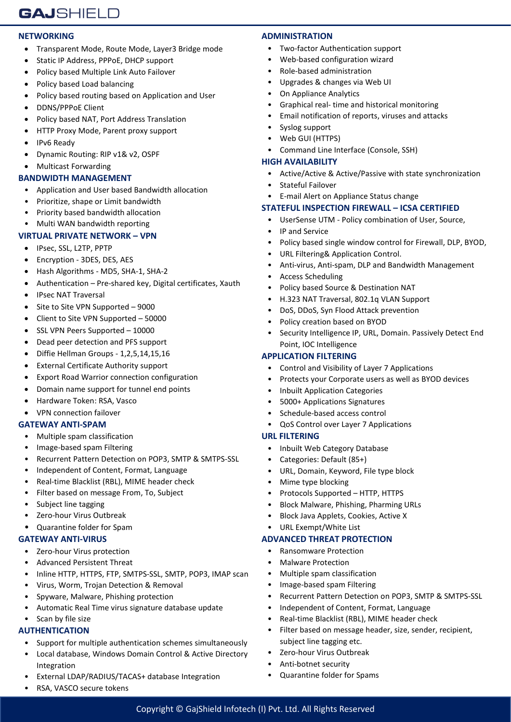#### **NETWORKING**

- Transparent Mode, Route Mode, Layer3 Bridge mode
- Static IP Address, PPPoE, DHCP support
- Policy based Multiple Link Auto Failover
- Policy based Load balancing
- Policy based routing based on Application and User
- DDNS/PPPoE Client
- Policy based NAT, Port Address Translation
- HTTP Proxy Mode, Parent proxy support
- IPv6 Ready
- Dynamic Routing: RIP v1& v2, OSPF
- Multicast Forwarding

#### **BANDWIDTH MANAGEMENT**

- Application and User based Bandwidth allocation
- Prioritize, shape or Limit bandwidth
- Priority based bandwidth allocation

#### • Multi WAN bandwidth reporting

#### **VIRTUAL PRIVATE NETWORK – VPN**

- IPsec, SSL, L2TP, PPTP
- Encryption 3DES, DES, AES
- Hash Algorithms MD5, SHA-1, SHA-2
- Authentication Pre-shared key, Digital certificates, Xauth
- IPsec NAT Traversal
- Site to Site VPN Supported 9000
- Client to Site VPN Supported 50000
- SSL VPN Peers Supported 10000
- Dead peer detection and PFS support
- Diffie Hellman Groups 1,2,5,14,15,16
- External Certificate Authority support
- Export Road Warrior connection configuration
- Domain name support for tunnel end points
- Hardware Token: RSA, Vasco
- VPN connection failover

#### **GATEWAY ANTI-SPAM**

- Multiple spam classification
- Image-based spam Filtering
- Recurrent Pattern Detection on POP3, SMTP & SMTPS-SSL
- Independent of Content, Format, Language
- Real-time Blacklist (RBL), MIME header check
- Filter based on message From, To, Subject
- Subject line tagging
- Zero-hour Virus Outbreak
- Quarantine folder for Spam

#### **GATEWAY ANTI-VIRUS**

- Zero-hour Virus protection
- Advanced Persistent Threat
- Inline HTTP, HTTPS, FTP, SMTPS-SSL, SMTP, POP3, IMAP scan
- Virus, Worm, Trojan Detection & Removal
- Spyware, Malware, Phishing protection
- Automatic Real Time virus signature database update
- Scan by file size

### **AUTHENTICATION**

- Support for multiple authentication schemes simultaneously
- Local database, Windows Domain Control & Active Directory Integration
- External LDAP/RADIUS/TACAS+ database Integration

# RSA, VASCO secure tokens

#### **ADMINISTRATION**

- Two-factor Authentication support
- Web-based configuration wizard
- Role-based administration
- Upgrades & changes via Web UI
- On Appliance Analytics
- Graphical real- time and historical monitoring
- Email notification of reports, viruses and attacks
- Syslog support
- Web GUI (HTTPS)
- Command Line Interface (Console, SSH)

#### **HIGH AVAILABILITY**

- Active/Active & Active/Passive with state synchronization
- Stateful Failover
- E-mail Alert on Appliance Status change

#### **STATEFUL INSPECTION FIREWALL – ICSA CERTIFIED**

- UserSense UTM Policy combination of User, Source,
- IP and Service
	- Policy based single window control for Firewall, DLP, BYOD,
- URL Filtering& Application Control.
- Anti-virus, Anti-spam, DLP and Bandwidth Management
- Access Scheduling
- Policy based Source & Destination NAT
- H.323 NAT Traversal, 802.1q VLAN Support
- DoS, DDoS, Syn Flood Attack prevention
- Policy creation based on BYOD
- Security Intelligence IP, URL, Domain. Passively Detect End Point, IOC Intelligence

#### **APPLICATION FILTERING**

- Control and Visibility of Layer 7 Applications
- Protects your Corporate users as well as BYOD devices

• Recurrent Pattern Detection on POP3, SMTP & SMTPS-SSL

Filter based on message header, size, sender, recipient,

- Inbuilt Application Categories
- 5000+ Applications Signatures
- Schedule-based access control
- QoS Control over Layer 7 Applications

#### **URL FILTERING**

Copyright © GajShield Infotech (I) Pvt. Ltd. All Rights Reserved

- Inbuilt Web Category Database
- Categories: Default (85+)
- URL, Domain, Keyword, File type block
- Mime type blocking
- Protocols Supported HTTP, HTTPS
- Block Malware, Phishing, Pharming URLs

• Independent of Content, Format, Language • Real-time Blacklist (RBL), MIME header check

• Block Java Applets, Cookies, Active X

**ADVANCED THREAT PROTECTION** • Ransomware Protection • Malware Protection • Multiple spam classification • Image-based spam Filtering

subject line tagging etc. • Zero-hour Virus Outbreak • Anti-botnet security • Quarantine folder for Spams

• URL Exempt/White List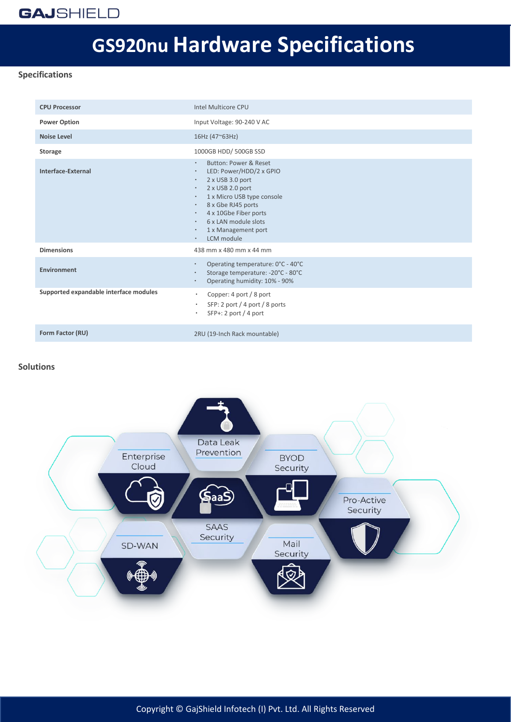## **GAJSHIELD**

# **GS920nu Hardware Specifications**

#### **Specifications**

| <b>CPU Processor</b>                   | Intel Multicore CPU                                                                                                                                                                                                                                                                                                                                                  |
|----------------------------------------|----------------------------------------------------------------------------------------------------------------------------------------------------------------------------------------------------------------------------------------------------------------------------------------------------------------------------------------------------------------------|
| <b>Power Option</b>                    | Input Voltage: 90-240 V AC                                                                                                                                                                                                                                                                                                                                           |
| <b>Noise Level</b>                     | 16Hz (47~63Hz)                                                                                                                                                                                                                                                                                                                                                       |
| <b>Storage</b>                         | 1000GB HDD/500GB SSD                                                                                                                                                                                                                                                                                                                                                 |
| Interface-External                     | Button: Power & Reset<br>$\bullet$<br>LED: Power/HDD/2 x GPIO<br>$\bullet$<br>2 x USB 3.0 port<br>$\bullet$<br>2 x USB 2.0 port<br>$\bullet$<br>1 x Micro USB type console<br>$\bullet$<br>8 x Gbe RJ45 ports<br>$\bullet$<br>4 x 10Gbe Fiber ports<br>$\bullet$<br>6 x LAN module slots<br>$\bullet$<br>1 x Management port<br>$\bullet$<br>LCM module<br>$\bullet$ |
| <b>Dimensions</b>                      | 438 mm x 480 mm x 44 mm                                                                                                                                                                                                                                                                                                                                              |
| <b>Environment</b>                     | Operating temperature: 0°C - 40°C<br>$\bullet$<br>Storage temperature: -20°C - 80°C<br>$\bullet$<br>Operating humidity: 10% - 90%<br>$\bullet$                                                                                                                                                                                                                       |
| Supported expandable interface modules | Copper: 4 port / 8 port<br>$\bullet$<br>SFP: 2 port / 4 port / 8 ports<br>$\bullet$<br>SFP+: 2 port / 4 port<br>$\bullet$                                                                                                                                                                                                                                            |
| Form Factor (RU)                       | 2RU (19-Inch Rack mountable)                                                                                                                                                                                                                                                                                                                                         |

#### **Solutions**